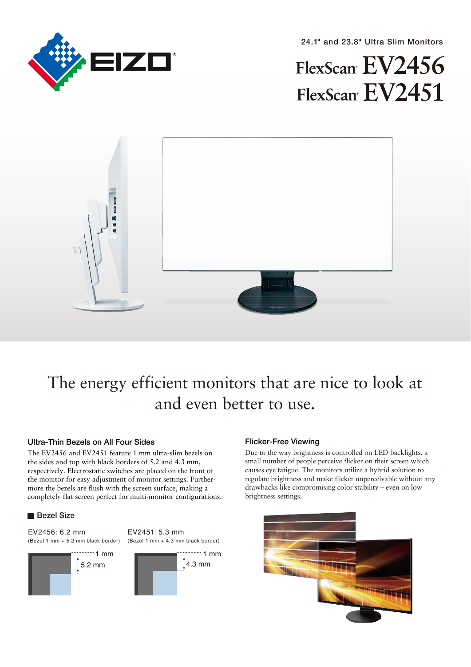

24.1" and 23.8" Ultra Slim Monitors

# FlexScan EV2456 FlexScan EV2451



# The energy efficient monitors that are nice to look at and even better to use.

# Ultra-Thin Bezels on All Four Sides

The EV2456 and EV2451 feature 1 mm ultra-slim bezels on the sides and top with black borders of 5.2 and 4.3 mm, respectively. Electrostatic switches are placed on the front of the monitor for easy adjustment of monitor settings. Furthermore the bezels are flush with the screen surface, making a completely flat screen perfect for multi-monitor configurations.

# **Bezel Size**

EV2456: 6.2 mm (Bezel 1 mm + 5.2 mm black border)

EV2451: 5.3 mm (Bezel 1 mm + 4.3 mm black border)



# Flicker-Free Viewing

Due to the way brightness is controlled on LED backlights, a small number of people perceive flicker on their screen which causes eye fatigue. The monitors utilize a hybrid solution to regulate brightness and make flicker unperceivable without any drawbacks like compromising color stability – even on low brightness settings.

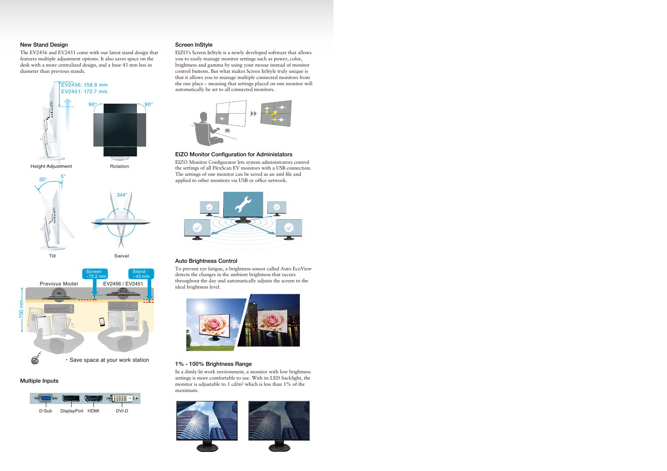# New Stand Design

The EV2456 and EV2451 come with our latest stand design that features multiple adjustment options. It also saves space on the desk with a more centralized design, and a base 43 mm less in diameter than previous stands.



#### Multiple Inputs



#### Screen InStyle

EIZO's Screen InStyle is a newly developed software that allows you to easily manage monitor settings such as power, color, brightness and gamma by using your mouse instead of monitor control buttons. But what makes Screen InStyle truly unique is that it allows you to manage multiple connected monitors from the one place – meaning that settings placed on one monitor will automatically be set to all connected monitors.



#### EIZO Monitor Configuration for Administators

EIZO Monitor Configurator lets system administrators control the settings of all FlexScan EV monitors with a USB connection. The settings of one monitor can be saved as an xml file and applied to other monitors via USB or office network.



#### Auto Brightness Control

To prevent eye fatigue, a brightness sensor called Auto EcoView detects the changes in the ambient brightness that occurs throughout the day and automatically adjusts the screen to the ideal brightness level.



## 1% - 100% Brightness Range

In a dimly-lit work environment, a monitor with low brightness settings is more comfortable to use. With its LED backlight, the monitor is adjustable to 1 cd/m2 which is less than 1% of the maximum.